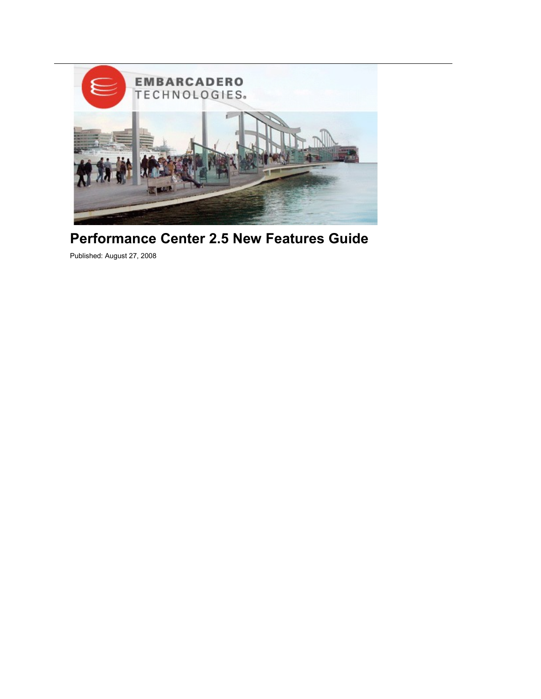

# **Performance Center 2.5 New Features Guide**

Published: August 27, 2008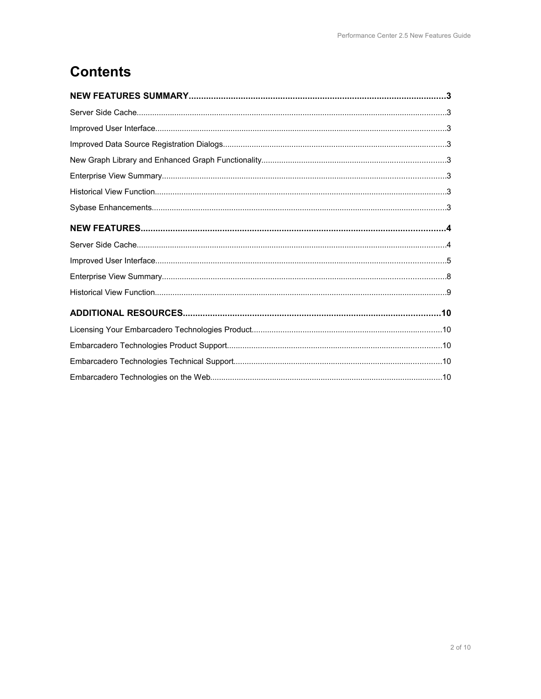# **Contents**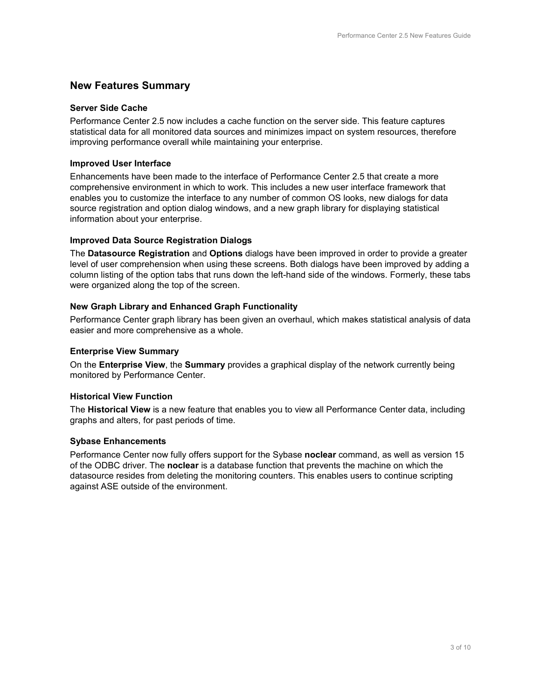# **New Features Summary**

## **Server Side Cache**

Performance Center 2.5 now includes a cache function on the server side. This feature captures statistical data for all monitored data sources and minimizes impact on system resources, therefore improving performance overall while maintaining your enterprise.

## **Improved User Interface**

Enhancements have been made to the interface of Performance Center 2.5 that create a more comprehensive environment in which to work. This includes a new user interface framework that enables you to customize the interface to any number of common OS looks, new dialogs for data source registration and option dialog windows, and a new graph library for displaying statistical information about your enterprise.

#### **Improved Data Source Registration Dialogs**

The **Datasource Registration** and **Options** dialogs have been improved in order to provide a greater level of user comprehension when using these screens. Both dialogs have been improved by adding a column listing of the option tabs that runs down the left-hand side of the windows. Formerly, these tabs were organized along the top of the screen.

# **New Graph Library and Enhanced Graph Functionality**

Performance Center graph library has been given an overhaul, which makes statistical analysis of data easier and more comprehensive as a whole.

#### **Enterprise View Summary**

On the **Enterprise View**, the **Summary** provides a graphical display of the network currently being monitored by Performance Center.

# **Historical View Function**

The **Historical View** is a new feature that enables you to view all Performance Center data, including graphs and alters, for past periods of time.

# **Sybase Enhancements**

Performance Center now fully offers support for the Sybase **noclear** command, as well as version 15 of the ODBC driver. The **noclear** is a database function that prevents the machine on which the datasource resides from deleting the monitoring counters. This enables users to continue scripting against ASE outside of the environment.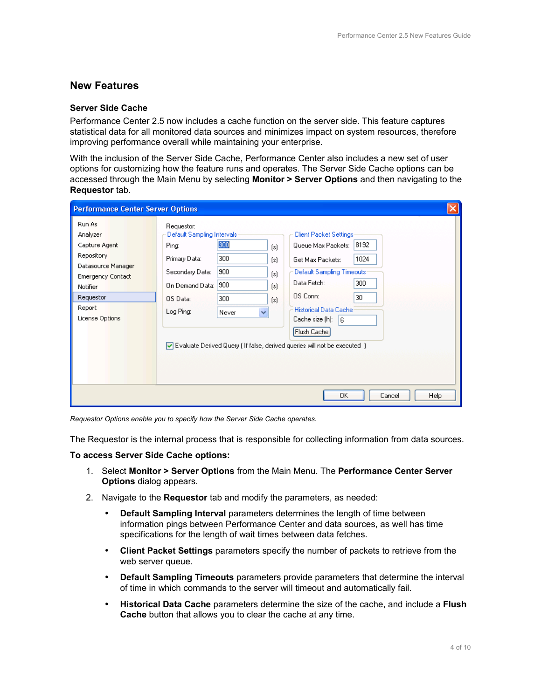# **New Features**

#### **Server Side Cache**

Performance Center 2.5 now includes a cache function on the server side. This feature captures statistical data for all monitored data sources and minimizes impact on system resources, therefore improving performance overall while maintaining your enterprise.

With the inclusion of the Server Side Cache, Performance Center also includes a new set of user options for customizing how the feature runs and operates. The Server Side Cache options can be accessed through the Main Menu by selecting **Monitor > Server Options** and then navigating to the **Requestor** tab.

| <b>Performance Center Server Options</b>                                                                                                                  |                                                                                                                                                                                                                                                                                                                                                                                                                                                                                                                                                                   |  |  |  |
|-----------------------------------------------------------------------------------------------------------------------------------------------------------|-------------------------------------------------------------------------------------------------------------------------------------------------------------------------------------------------------------------------------------------------------------------------------------------------------------------------------------------------------------------------------------------------------------------------------------------------------------------------------------------------------------------------------------------------------------------|--|--|--|
| Run As<br>Analyzer<br>Capture Agent<br>Repository<br>Datasource Manager<br><b>Emergency Contact</b><br>Notifier<br>Requestor<br>Report<br>License Options | Requestor:<br>Default Sampling Intervals:<br>Client Packet Settings:<br>300<br>8192<br>Queue Max Packets:<br>Ping:<br>[s]<br>300<br>Primary Data:<br>1024<br>Get Max Packets:<br>[s]<br>900<br>Default Sampling Timeouts:<br>Secondary Data:<br>[s]<br>Data Fetch:<br>300<br>900<br>On Demand Data:<br>[s]<br>OS Conn:<br>30<br>300<br>OS Data:<br>[s]<br><b>Historical Data Cache</b><br>Log Ping:<br>$\checkmark$<br>Never<br>Cache size [h]:<br>l6.<br>Flush Cache<br>$\triangledown$ Evaluate Derived Query (If false, derived queries will not be executed ) |  |  |  |
| 0K<br>Cancel<br>Help                                                                                                                                      |                                                                                                                                                                                                                                                                                                                                                                                                                                                                                                                                                                   |  |  |  |

*Requestor Options enable you to specify how the Server Side Cache operates.*

The Requestor is the internal process that is responsible for collecting information from data sources.

#### **To access Server Side Cache options:**

- 1. Select **Monitor > Server Options** from the Main Menu. The **Performance Center Server Options** dialog appears.
- 2. Navigate to the **Requestor** tab and modify the parameters, as needed:
	- **Default Sampling Interval** parameters determines the length of time between information pings between Performance Center and data sources, as well has time specifications for the length of wait times between data fetches.
	- **Client Packet Settings** parameters specify the number of packets to retrieve from the web server queue.
	- **Default Sampling Timeouts** parameters provide parameters that determine the interval of time in which commands to the server will timeout and automatically fail.
	- **Historical Data Cache** parameters determine the size of the cache, and include a **Flush Cache** button that allows you to clear the cache at any time.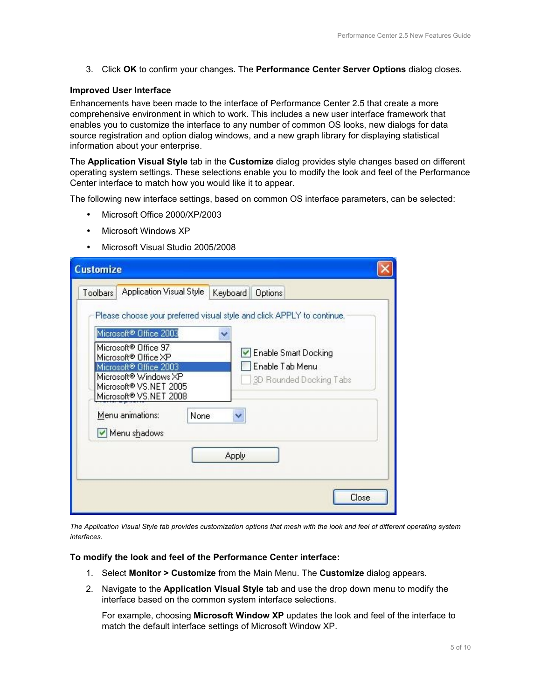3. Click **OK** to confirm your changes. The **Performance Center Server Options** dialog closes.

#### **Improved User Interface**

Enhancements have been made to the interface of Performance Center 2.5 that create a more comprehensive environment in which to work. This includes a new user interface framework that enables you to customize the interface to any number of common OS looks, new dialogs for data source registration and option dialog windows, and a new graph library for displaying statistical information about your enterprise.

The **Application Visual Style** tab in the **Customize** dialog provides style changes based on different operating system settings. These selections enable you to modify the look and feel of the Performance Center interface to match how you would like it to appear.

The following new interface settings, based on common OS interface parameters, can be selected:

- Microsoft Office 2000/XP/2003
- Microsoft Windows XP
- Microsoft Visual Studio 2005/2008

| Please choose your preferred visual style and click APPLY to continue.<br>Microsoft® Office 2003<br>Microsoft <sup>®</sup> Office 97<br>Enable Smart Docking<br>Microsoft <sup>®</sup> Office XP<br>Enable Tab Menu<br>Microsoft® Office 2003<br>Microsoft <sup>®</sup> Windows XP<br>3D Rounded Docking Tabs<br>Microsoft® VS.NET 2005<br>Microsoft® VS.NET 2008<br>Menu animations:<br>None<br>×<br>Menu shadows | <b>Application Visual Style</b><br>Toolbars | Keyboard<br>Options |
|--------------------------------------------------------------------------------------------------------------------------------------------------------------------------------------------------------------------------------------------------------------------------------------------------------------------------------------------------------------------------------------------------------------------|---------------------------------------------|---------------------|
|                                                                                                                                                                                                                                                                                                                                                                                                                    |                                             |                     |
|                                                                                                                                                                                                                                                                                                                                                                                                                    |                                             |                     |

*The Application Visual Style tab provides customization options that mesh with the look and feel of different operating system interfaces.*

#### **To modify the look and feel of the Performance Center interface:**

- 1. Select **Monitor > Customize** from the Main Menu. The **Customize** dialog appears.
- 2. Navigate to the **Application Visual Style** tab and use the drop down menu to modify the interface based on the common system interface selections.

For example, choosing **Microsoft Window XP** updates the look and feel of the interface to match the default interface settings of Microsoft Window XP.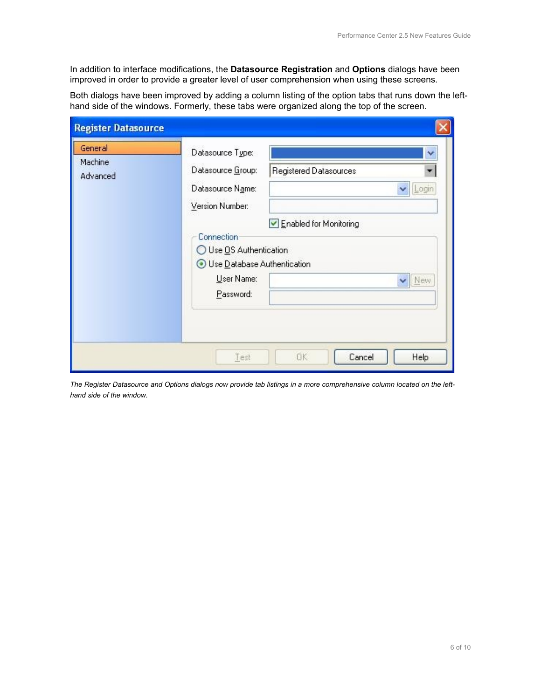In addition to interface modifications, the **Datasource Registration** and **Options** dialogs have been improved in order to provide a greater level of user comprehension when using these screens.

Both dialogs have been improved by adding a column listing of the option tabs that runs down the lefthand side of the windows. Formerly, these tabs were organized along the top of the screen.

| <b>Register Datasource</b>     |                                                                                                                                                                                        |                                                                            |
|--------------------------------|----------------------------------------------------------------------------------------------------------------------------------------------------------------------------------------|----------------------------------------------------------------------------|
| General<br>Machine<br>Advanced | Datasource Type:<br>Datasource Group:<br>Datasource Name:<br>Version Number:<br><b>Connection</b><br>◯ Use OS Authentication<br>Use Database Authentication<br>User Name:<br>Password: | v<br>Registered Datasources<br>۰<br>Login<br>Enabled for Monitoring<br>New |
|                                | Test                                                                                                                                                                                   | 0K<br>Cancel<br>Help                                                       |

*The Register Datasource and Options dialogs now provide tab listings in a more comprehensive column located on the lefthand side of the window.*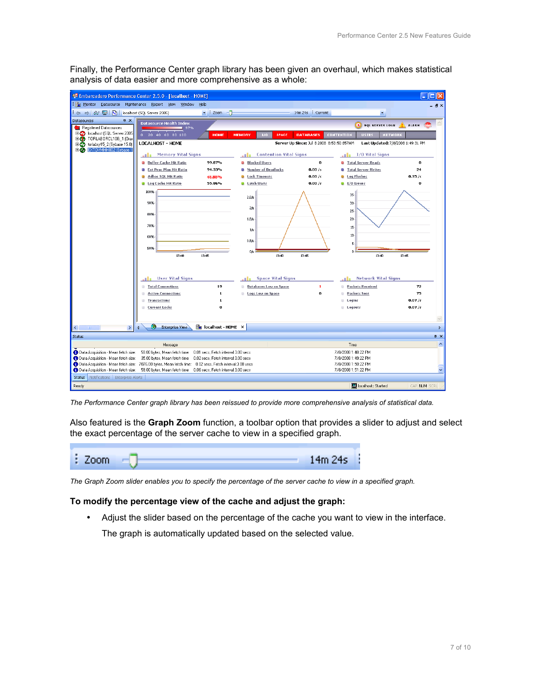Finally, the Performance Center graph library has been given an overhaul, which makes statistical analysis of data easier and more comprehensive as a whole:



*The Performance Center graph library has been reissued to provide more comprehensive analysis of statistical data.*

Also featured is the **Graph Zoom** function, a toolbar option that provides a slider to adjust and select the exact percentage of the server cache to view in a specified graph.



*The Graph Zoom slider enables you to specify the percentage of the server cache to view in a specified graph.*

## **To modify the percentage view of the cache and adjust the graph:**

• Adjust the slider based on the percentage of the cache you want to view in the interface.

The graph is automatically updated based on the selected value.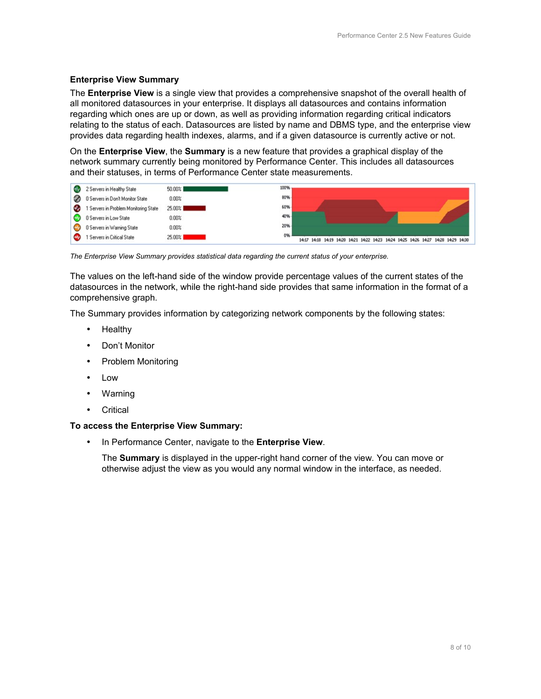# **Enterprise View Summary**

The **Enterprise View** is a single view that provides a comprehensive snapshot of the overall health of all monitored datasources in your enterprise. It displays all datasources and contains information regarding which ones are up or down, as well as providing information regarding critical indicators relating to the status of each. Datasources are listed by name and DBMS type, and the enterprise view provides data regarding health indexes, alarms, and if a given datasource is currently active or not.

On the **Enterprise View**, the **Summary** is a new feature that provides a graphical display of the network summary currently being monitored by Performance Center. This includes all datasources and their statuses, in terms of Performance Center state measurements.



*The Enterprise View Summary provides statistical data regarding the current status of your enterprise.*

The values on the left-hand side of the window provide percentage values of the current states of the datasources in the network, while the right-hand side provides that same information in the format of a comprehensive graph.

The Summary provides information by categorizing network components by the following states:

- **Healthy**
- Don't Monitor
- Problem Monitoring
- Low
- Warning
- **Critical**

# **To access the Enterprise View Summary:**

• In Performance Center, navigate to the **Enterprise View**.

The **Summary** is displayed in the upper-right hand corner of the view. You can move or otherwise adjust the view as you would any normal window in the interface, as needed.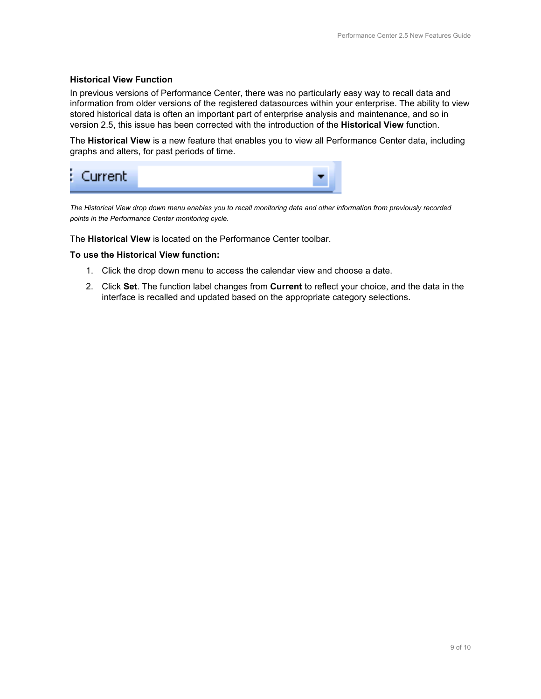## **Historical View Function**

In previous versions of Performance Center, there was no particularly easy way to recall data and information from older versions of the registered datasources within your enterprise. The ability to view stored historical data is often an important part of enterprise analysis and maintenance, and so in version 2.5, this issue has been corrected with the introduction of the **Historical View** function.

The **Historical View** is a new feature that enables you to view all Performance Center data, including graphs and alters, for past periods of time.



*The Historical View drop down menu enables you to recall monitoring data and other information from previously recorded points in the Performance Center monitoring cycle.*

The **Historical View** is located on the Performance Center toolbar.

#### **To use the Historical View function:**

- 1. Click the drop down menu to access the calendar view and choose a date.
- 2. Click **Set**. The function label changes from **Current** to reflect your choice, and the data in the interface is recalled and updated based on the appropriate category selections.